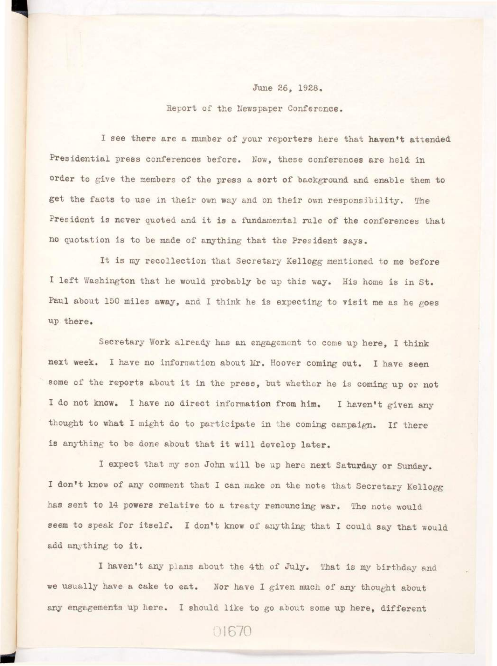## June 26, 1928.

## Report of the Newspaper Conference.

I see there are a number of your reporters here that haven't attended Presidential press conferences before. Now, these conferences are held in order to give the members of the press a sort of background and enable them to get the facts to use in their own way and on their own responsibility. The President is never quoted and it is a fundamental rule of the conferences that no quotation is to be made of anything that the President says.

It is my recollection that Secretary Kellogg mentioned to me before I left Washington that he would probably be up this way. His home is in St. Paul about 150 miles away, and I think he is expecting to visit me as he goes up there.

Secretary Work already has an engagement to come up here, I think next week. I have no information about Mr. Hoover coming out. I have seen some of the reports about it in the press, but whether he is coming up or not I do not know. I have no direct information from him. I haven't given any thought to what I might do to participate in the coming campaign. If there is anything to be done about that it will develop later.

I expect that my son John will be up here next Saturday or Sunday. I don't know of any comment that I can make on the note that Secretary Kellogg has sent to 14 powers relative to a treaty renouncing war. The note would seem to speak for itself. I don't know of anything that I could say that would add anything to it.

I haven't any plans about the 4th of July. That is my birthday and we usually have a cake to eat. Nor have I given much of any thought about any engagements up here. I should like to go about some up here, different

01670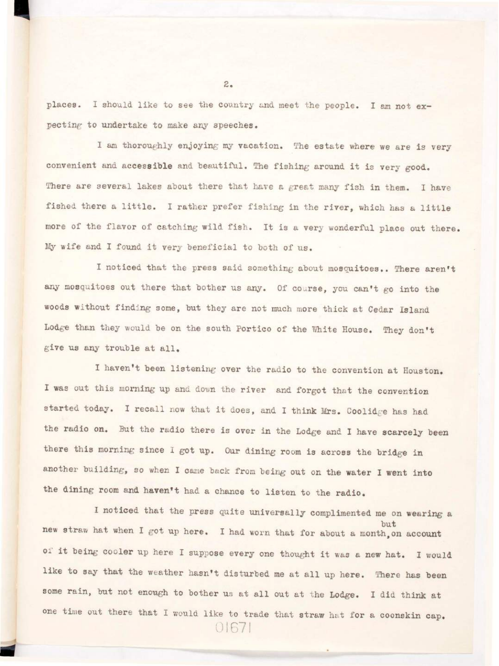places. I should like to see the country and meet the people. I am not expecting to undertake to make any speeches.

I am thoroughly enjoying my vacation. The estate where we are is very convenient and accessible and beautiful. The fishing around it is very good. There are several lakes about there that have a great many fish in them. I have fished there a little. I rather prefer fishing in the river, which has a little more of the flavor of catching wild fish. It is a very wonderful place out there. My wife and I found it very beneficial to both of us.

I noticed that the press said something about mosquitoes.. There aren't any mosquitoes out there that bother us any. Of course, you can't go into the woods without finding some, but they are not much more thick at Cedar Island Lodge than they would be on the south Portico of the White House. They don't give us any trouble at all.

I haven't been listening over the radio to the convention at Houston. I was out this morning up and down the river and forgot that the convention started today. I recall now that it does, and I think Mrs. Coolidge has had the radio on. But the radio there is over in the Lodge and I have scarcely been there this morning since I got up. Our dining room is across the bridge in another building, so when I came back from being out on the water I went into the dining room and haven't had a chance to listen to the radio.

I noticed that the press quite universally complimented me on wearing a new straw hat when I got up here. I had worn that for about a month, on account of it being cooler up here I suppose every one thought it was a new hat. I would like to say that the weather hasn't disturbed me at all up here. There has been some rain, but not enough to bother us at all out at the Lodge. I did think at one time out there that I would like to trade that straw hat for a coonskin cap.  $\Omega$ one time out that I would like that  $\Omega$  would like that for a coonstraint cap. The form of  $\Omega$ 

 $2.$